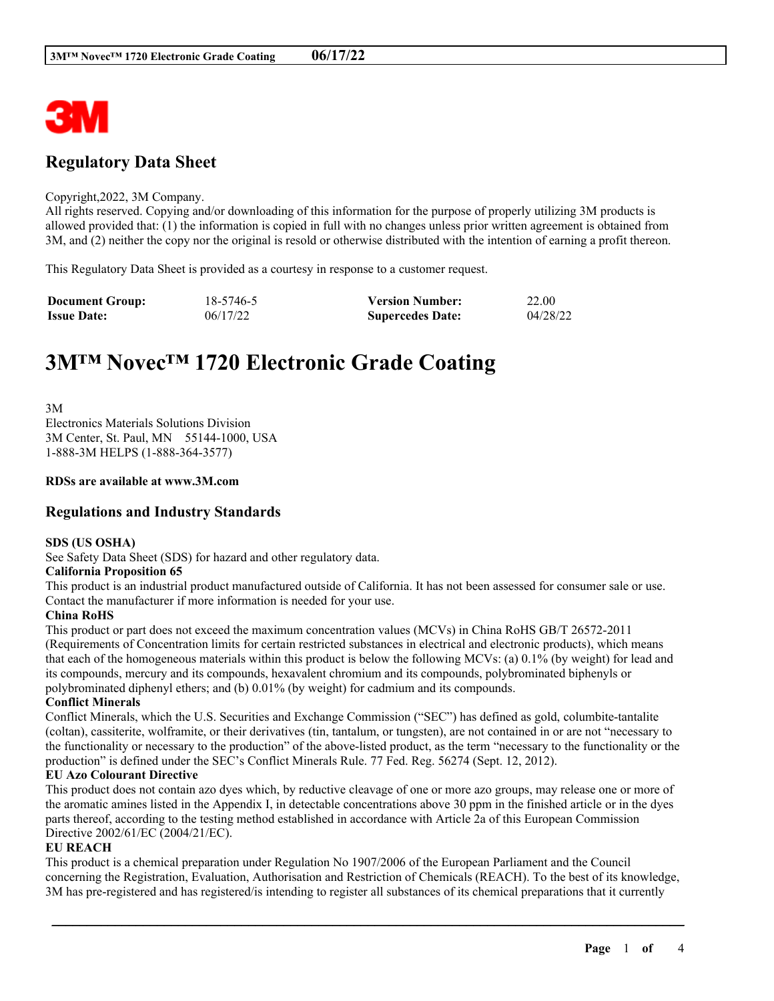

## **Regulatory Data Sheet**

#### Copyright,2022, 3M Company.

All rights reserved. Copying and/or downloading of this information for the purpose of properly utilizing 3M products is allowed provided that: (1) the information is copied in full with no changes unless prior written agreement is obtained from 3M, and (2) neither the copy nor the original is resold or otherwise distributed with the intention of earning a profit thereon.

This Regulatory Data Sheet is provided as a courtesy in response to a customer request.

| <b>Document Group:</b> | 18-5746-5 | <b>Version Number:</b>  | 22.00    |
|------------------------|-----------|-------------------------|----------|
| <b>Issue Date:</b>     | 06/17/22  | <b>Supercedes Date:</b> | 04/28/22 |

# **3M™ Novec™ 1720 Electronic Grade Coating**

3M Electronics Materials Solutions Division 3M Center, St. Paul, MN 55144-1000, USA 1-888-3M HELPS (1-888-364-3577)

#### **RDSs are available at www.3M.com**

## **Regulations and Industry Standards**

#### **SDS (US OSHA)**

See Safety Data Sheet (SDS) for hazard and other regulatory data.

#### **California Proposition 65**

This product is an industrial product manufactured outside of California. It has not been assessed for consumer sale or use. Contact the manufacturer if more information is needed for your use.

#### **China RoHS**

This product or part does not exceed the maximum concentration values (MCVs) in China RoHS GB/T 26572-2011 (Requirements of Concentration limits for certain restricted substances in electrical and electronic products), which means that each of the homogeneous materials within this product is below the following MCVs: (a) 0.1% (by weight) for lead and its compounds, mercury and its compounds, hexavalent chromium and its compounds, polybrominated biphenyls or polybrominated diphenyl ethers; and (b) 0.01% (by weight) for cadmium and its compounds.

#### **Conflict Minerals**

Conflict Minerals, which the U.S. Securities and Exchange Commission ("SEC") has defined as gold, columbite-tantalite (coltan), cassiterite, wolframite, or their derivatives (tin, tantalum, or tungsten), are not contained in or are not "necessary to the functionality or necessary to the production" of the above-listed product, as the term "necessary to the functionality or the production" is defined under the SEC's Conflict Minerals Rule. 77 Fed. Reg. 56274 (Sept. 12, 2012).

#### **EU Azo Colourant Directive**

This product does not contain azo dyes which, by reductive cleavage of one or more azo groups, may release one or more of the aromatic amines listed in the Appendix I, in detectable concentrations above 30 ppm in the finished article or in the dyes parts thereof, according to the testing method established in accordance with Article 2a of this European Commission Directive 2002/61/EC (2004/21/EC).

#### **EU REACH**

This product is a chemical preparation under Regulation No 1907/2006 of the European Parliament and the Council concerning the Registration, Evaluation, Authorisation and Restriction of Chemicals (REACH). To the best of its knowledge, 3M has pre-registered and has registered/is intending to register all substances of its chemical preparations that it currently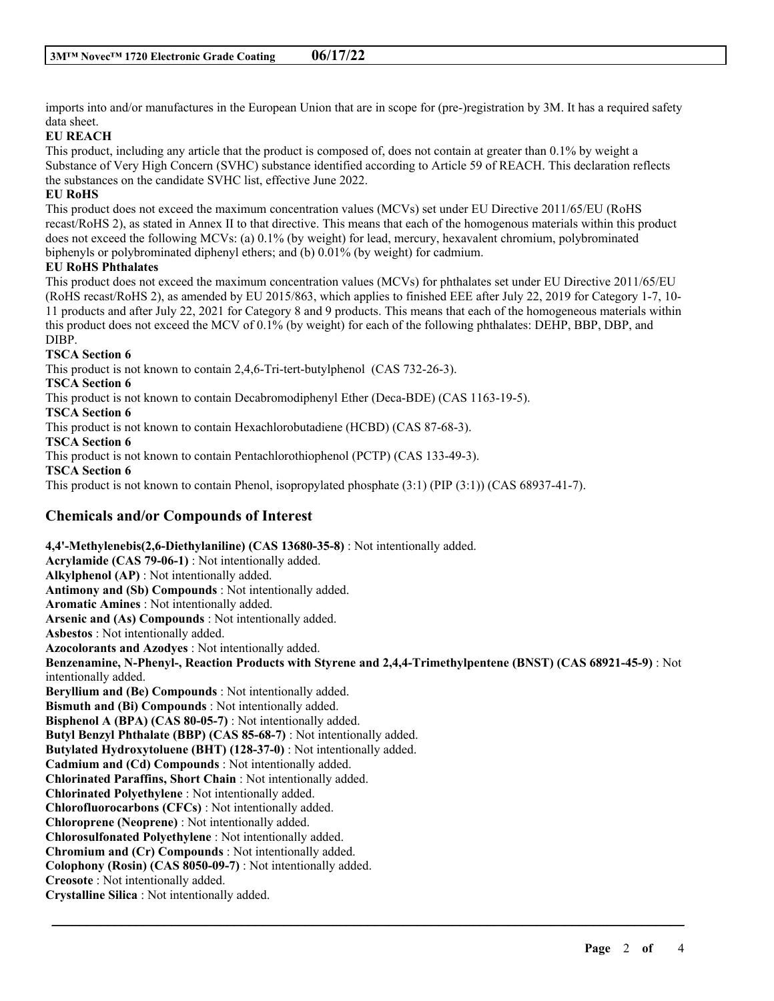imports into and/or manufactures in the European Union that are in scope for (pre-)registration by 3M. It has a required safety data sheet.

## **EU REACH**

This product, including any article that the product is composed of, does not contain at greater than 0.1% by weight a Substance of Very High Concern (SVHC) substance identified according to Article 59 of REACH. This declaration reflects the substances on the candidate SVHC list, effective June 2022.

## **EU RoHS**

This product does not exceed the maximum concentration values (MCVs) set under EU Directive 2011/65/EU (RoHS recast/RoHS 2), as stated in Annex II to that directive. This means that each of the homogenous materials within this product does not exceed the following MCVs: (a) 0.1% (by weight) for lead, mercury, hexavalent chromium, polybrominated biphenyls or polybrominated diphenyl ethers; and (b) 0.01% (by weight) for cadmium.

#### **EU RoHS Phthalates**

This product does not exceed the maximum concentration values (MCVs) for phthalates set under EU Directive 2011/65/EU (RoHS recast/RoHS 2), as amended by EU 2015/863, which applies to finished EEE after July 22, 2019 for Category 1-7, 10- 11 products and after July 22, 2021 for Category 8 and 9 products. This means that each of the homogeneous materials within this product does not exceed the MCV of 0.1% (by weight) for each of the following phthalates: DEHP, BBP, DBP, and DIBP.

## **TSCA Section 6**

This product is not known to contain 2,4,6-Tri-tert-butylphenol (CAS 732-26-3).

**TSCA Section 6**

This product is not known to contain Decabromodiphenyl Ether (Deca-BDE) (CAS 1163-19-5).

**TSCA Section 6**

This product is not known to contain Hexachlorobutadiene (HCBD) (CAS 87-68-3).

**TSCA Section 6**

This product is not known to contain Pentachlorothiophenol (PCTP) (CAS 133-49-3).

**TSCA Section 6**

This product is not known to contain Phenol, isopropylated phosphate (3:1) (PIP (3:1)) (CAS 68937-41-7).

## **Chemicals and/or Compounds of Interest**

**4,4'-Methylenebis(2,6-Diethylaniline) (CAS 13680-35-8)** : Not intentionally added. **Acrylamide (CAS 79-06-1)** : Not intentionally added. **Alkylphenol (AP)** : Not intentionally added. **Antimony and (Sb) Compounds** : Not intentionally added. **Aromatic Amines** : Not intentionally added. **Arsenic and (As) Compounds** : Not intentionally added. **Asbestos** : Not intentionally added. **Azocolorants and Azodyes** : Not intentionally added. **Benzenamine, N-Phenyl-, Reaction Products with Styrene and 2,4,4-Trimethylpentene (BNST) (CAS 68921-45-9)** : Not intentionally added. **Beryllium and (Be) Compounds** : Not intentionally added. **Bismuth and (Bi) Compounds** : Not intentionally added. **Bisphenol A (BPA) (CAS 80-05-7)** : Not intentionally added. **Butyl Benzyl Phthalate (BBP) (CAS 85-68-7)** : Not intentionally added. **Butylated Hydroxytoluene (BHT) (128-37-0)** : Not intentionally added. **Cadmium and (Cd) Compounds** : Not intentionally added. **Chlorinated Paraffins, Short Chain** : Not intentionally added. **Chlorinated Polyethylene** : Not intentionally added. **Chlorofluorocarbons (CFCs)** : Not intentionally added. **Chloroprene (Neoprene)** : Not intentionally added. **Chlorosulfonated Polyethylene** : Not intentionally added. **Chromium and (Cr) Compounds** : Not intentionally added. **Colophony (Rosin) (CAS 8050-09-7)** : Not intentionally added. **Creosote** : Not intentionally added. **Crystalline Silica** : Not intentionally added.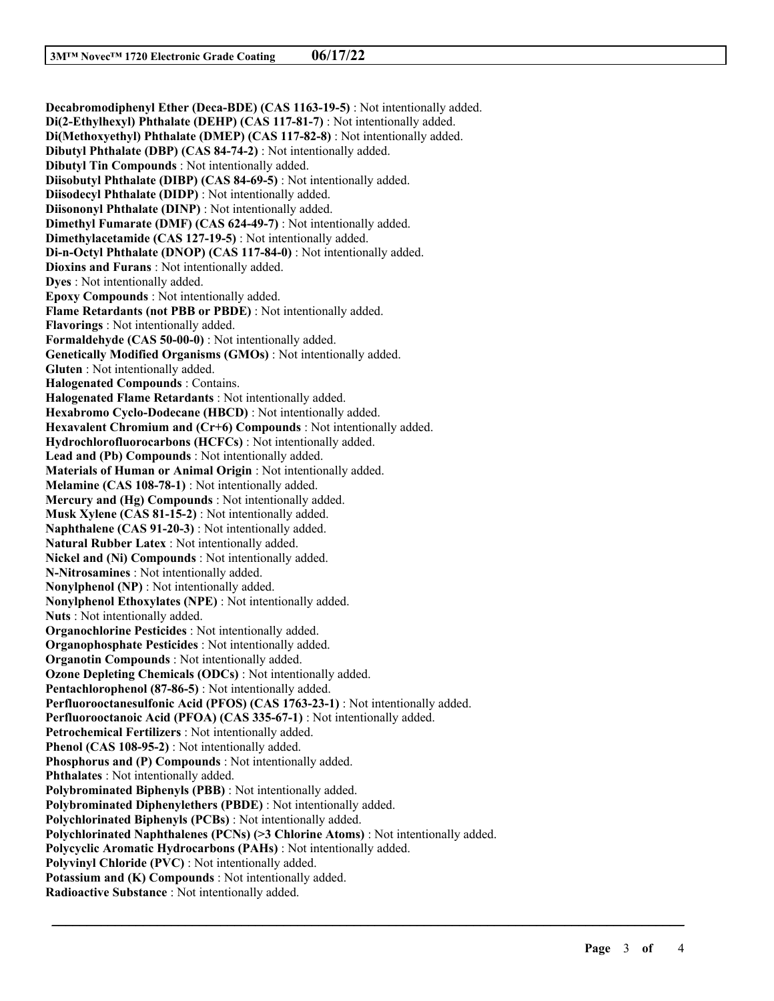**Decabromodiphenyl Ether (Deca-BDE) (CAS 1163-19-5)** : Not intentionally added. **Di(2-Ethylhexyl) Phthalate (DEHP) (CAS 117-81-7)** : Not intentionally added. **Di(Methoxyethyl) Phthalate (DMEP) (CAS 117-82-8)** : Not intentionally added. **Dibutyl Phthalate (DBP) (CAS 84-74-2)** : Not intentionally added. **Dibutyl Tin Compounds** : Not intentionally added. **Diisobutyl Phthalate (DIBP) (CAS 84-69-5)** : Not intentionally added. **Diisodecyl Phthalate (DIDP)** : Not intentionally added. **Diisononyl Phthalate (DINP)** : Not intentionally added. **Dimethyl Fumarate (DMF) (CAS 624-49-7)** : Not intentionally added. **Dimethylacetamide (CAS 127-19-5)** : Not intentionally added. **Di-n-Octyl Phthalate (DNOP) (CAS 117-84-0)** : Not intentionally added. **Dioxins and Furans** : Not intentionally added. **Dyes** : Not intentionally added. **Epoxy Compounds** : Not intentionally added. **Flame Retardants (not PBB or PBDE)** : Not intentionally added. **Flavorings** : Not intentionally added. **Formaldehyde (CAS 50-00-0)** : Not intentionally added. **Genetically Modified Organisms (GMOs)** : Not intentionally added. **Gluten** : Not intentionally added. **Halogenated Compounds** : Contains. **Halogenated Flame Retardants** : Not intentionally added. **Hexabromo Cyclo-Dodecane (HBCD)** : Not intentionally added. **Hexavalent Chromium and (Cr+6) Compounds** : Not intentionally added. **Hydrochlorofluorocarbons (HCFCs)** : Not intentionally added. **Lead and (Pb) Compounds** : Not intentionally added. **Materials of Human or Animal Origin** : Not intentionally added. **Melamine (CAS 108-78-1)** : Not intentionally added. **Mercury and (Hg) Compounds** : Not intentionally added. **Musk Xylene (CAS 81-15-2)** : Not intentionally added. **Naphthalene (CAS 91-20-3)** : Not intentionally added. **Natural Rubber Latex** : Not intentionally added. **Nickel and (Ni) Compounds** : Not intentionally added. **N-Nitrosamines** : Not intentionally added. **Nonylphenol (NP)** : Not intentionally added. **Nonylphenol Ethoxylates (NPE)** : Not intentionally added. **Nuts** : Not intentionally added. **Organochlorine Pesticides** : Not intentionally added. **Organophosphate Pesticides** : Not intentionally added. **Organotin Compounds** : Not intentionally added. **Ozone Depleting Chemicals (ODCs)** : Not intentionally added. **Pentachlorophenol (87-86-5)** : Not intentionally added. **Perfluorooctanesulfonic Acid (PFOS) (CAS 1763-23-1)** : Not intentionally added. **Perfluorooctanoic Acid (PFOA) (CAS 335-67-1)** : Not intentionally added. **Petrochemical Fertilizers** : Not intentionally added. **Phenol (CAS 108-95-2)** : Not intentionally added. **Phosphorus and (P) Compounds** : Not intentionally added. **Phthalates** : Not intentionally added. **Polybrominated Biphenyls (PBB)** : Not intentionally added. **Polybrominated Diphenylethers (PBDE)** : Not intentionally added. **Polychlorinated Biphenyls (PCBs)** : Not intentionally added. **Polychlorinated Naphthalenes (PCNs) (>3 Chlorine Atoms)** : Not intentionally added. **Polycyclic Aromatic Hydrocarbons (PAHs)** : Not intentionally added. **Polyvinyl Chloride (PVC)** : Not intentionally added. **Potassium and (K) Compounds** : Not intentionally added. **Radioactive Substance** : Not intentionally added.